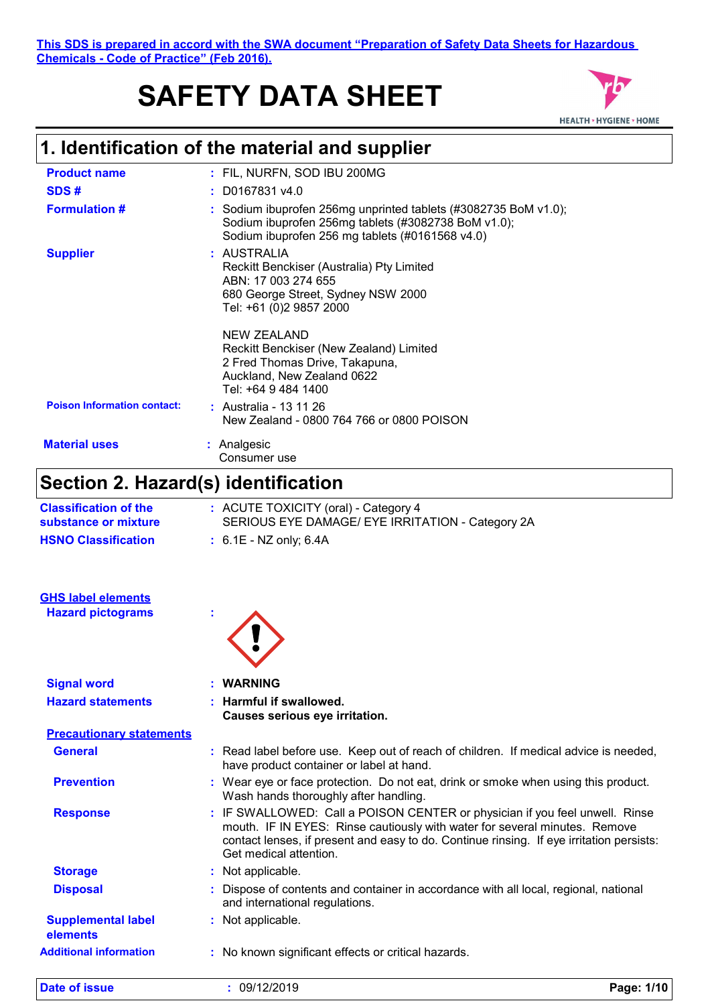**This SDS is prepared in accord with the SWA document "Preparation of Safety Data Sheets for Hazardous Chemicals - Code of Practice" (Feb 2016).**

# **SAFETY DATA SHEET**



## **1. Identification of the material and supplier**

| <b>Product name</b>                | : FIL, NURFN, SOD IBU 200MG                                                                                                                                               |
|------------------------------------|---------------------------------------------------------------------------------------------------------------------------------------------------------------------------|
| SDS#                               | $:$ D0167831 v4.0                                                                                                                                                         |
| <b>Formulation #</b>               | : Sodium ibuprofen 256mg unprinted tablets (#3082735 BoM v1.0);<br>Sodium ibuprofen 256mg tablets (#3082738 BoM v1.0);<br>Sodium ibuprofen 256 mg tablets (#0161568 v4.0) |
| <b>Supplier</b>                    | : AUSTRALIA<br>Reckitt Benckiser (Australia) Pty Limited<br>ABN: 17 003 274 655<br>680 George Street, Sydney NSW 2000<br>Tel: +61 (0)2 9857 2000                          |
|                                    | NEW ZEALAND<br>Reckitt Benckiser (New Zealand) Limited<br>2 Fred Thomas Drive, Takapuna,<br>Auckland, New Zealand 0622<br>Tel: +64 9 484 1400                             |
| <b>Poison Information contact:</b> | : Australia - 13 11 26<br>New Zealand - 0800 764 766 or 0800 POISON                                                                                                       |
| <b>Material uses</b>               | : Analgesic<br>Consumer use                                                                                                                                               |

# **Section 2. Hazard(s) identification**

| <b>Classification of the</b><br>substance or mixture | : ACUTE TOXICITY (oral) - Category 4<br>SERIOUS EYE DAMAGE/ EYE IRRITATION - Category 2A                                                                                                                                                                                        |            |  |
|------------------------------------------------------|---------------------------------------------------------------------------------------------------------------------------------------------------------------------------------------------------------------------------------------------------------------------------------|------------|--|
| <b>HSNO Classification</b>                           | $: 6.1E - NZ$ only; 6.4A                                                                                                                                                                                                                                                        |            |  |
| <b>GHS label elements</b>                            |                                                                                                                                                                                                                                                                                 |            |  |
| <b>Hazard pictograms</b>                             |                                                                                                                                                                                                                                                                                 |            |  |
| <b>Signal word</b>                                   | <b>WARNING</b>                                                                                                                                                                                                                                                                  |            |  |
| <b>Hazard statements</b>                             | Harmful if swallowed.<br>Causes serious eye irritation.                                                                                                                                                                                                                         |            |  |
| <b>Precautionary statements</b>                      |                                                                                                                                                                                                                                                                                 |            |  |
| <b>General</b>                                       | : Read label before use. Keep out of reach of children. If medical advice is needed,<br>have product container or label at hand.                                                                                                                                                |            |  |
| <b>Prevention</b>                                    | : Wear eye or face protection. Do not eat, drink or smoke when using this product.<br>Wash hands thoroughly after handling.                                                                                                                                                     |            |  |
| <b>Response</b>                                      | : IF SWALLOWED: Call a POISON CENTER or physician if you feel unwell. Rinse<br>mouth. IF IN EYES: Rinse cautiously with water for several minutes. Remove<br>contact lenses, if present and easy to do. Continue rinsing. If eye irritation persists:<br>Get medical attention. |            |  |
| <b>Storage</b>                                       | : Not applicable.                                                                                                                                                                                                                                                               |            |  |
| <b>Disposal</b>                                      | Dispose of contents and container in accordance with all local, regional, national<br>and international regulations.                                                                                                                                                            |            |  |
| <b>Supplemental label</b><br>elements                | : Not applicable.                                                                                                                                                                                                                                                               |            |  |
| <b>Additional information</b>                        | : No known significant effects or critical hazards.                                                                                                                                                                                                                             |            |  |
| <b>Date of issue</b>                                 | : 09/12/2019                                                                                                                                                                                                                                                                    | Page: 1/10 |  |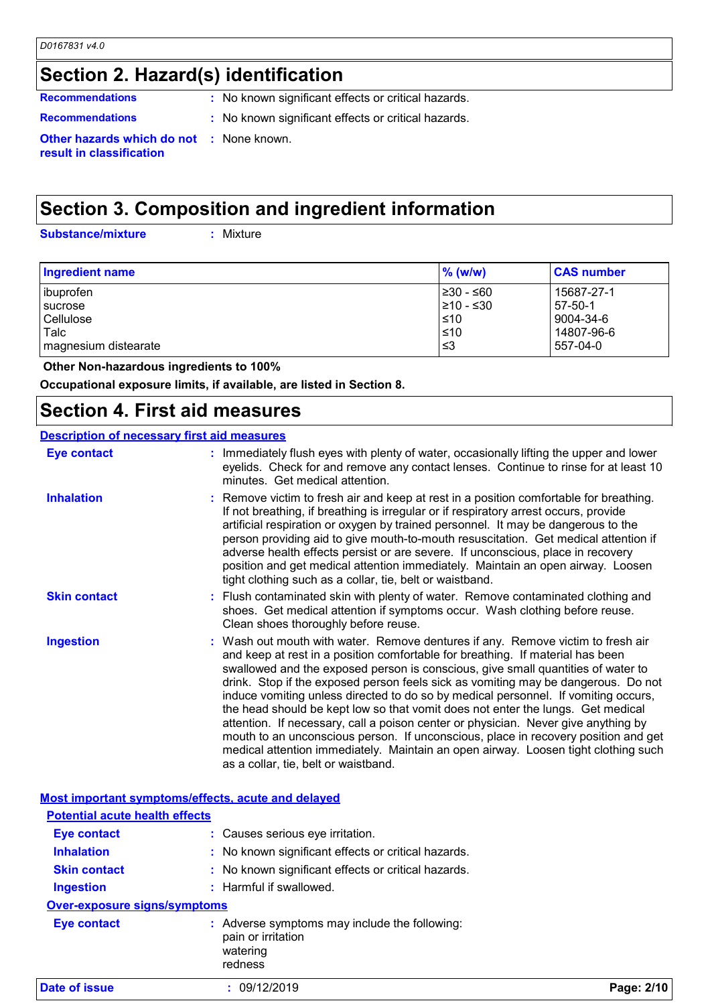## **Section 2. Hazard(s) identification**

**Recommendations** : No known significant effects or critical hazards.

- 
- **Recommendations :** No known significant effects or critical hazards.

**Other hazards which do not :** None known. **result in classification**

## **Section 3. Composition and ingredient information**

**Substance/mixture :**

: Mixture

| <b>Ingredient name</b> | $%$ (w/w)       | <b>CAS number</b> |
|------------------------|-----------------|-------------------|
| ibuprofen              | 1≥30 - ≤60      | 15687-27-1        |
| sucrose                | $\geq 10 - 530$ | $57-50-1$         |
| Cellulose              | ≤10             | 9004-34-6         |
| Talc                   | $\leq 10$       | 14807-96-6        |
| magnesium distearate   | '≤3             | 557-04-0          |

 **Other Non-hazardous ingredients to 100%**

**Occupational exposure limits, if available, are listed in Section 8.**

## **Section 4. First aid measures**

### **Description of necessary first aid measures**

| <b>Eye contact</b>                                 | : Immediately flush eyes with plenty of water, occasionally lifting the upper and lower<br>eyelids. Check for and remove any contact lenses. Continue to rinse for at least 10<br>minutes. Get medical attention.                                                                                                                                                                                                                                                                                                                                                                                                                                                                                                                                                                                                             |
|----------------------------------------------------|-------------------------------------------------------------------------------------------------------------------------------------------------------------------------------------------------------------------------------------------------------------------------------------------------------------------------------------------------------------------------------------------------------------------------------------------------------------------------------------------------------------------------------------------------------------------------------------------------------------------------------------------------------------------------------------------------------------------------------------------------------------------------------------------------------------------------------|
| <b>Inhalation</b>                                  | : Remove victim to fresh air and keep at rest in a position comfortable for breathing.<br>If not breathing, if breathing is irregular or if respiratory arrest occurs, provide<br>artificial respiration or oxygen by trained personnel. It may be dangerous to the<br>person providing aid to give mouth-to-mouth resuscitation. Get medical attention if<br>adverse health effects persist or are severe. If unconscious, place in recovery<br>position and get medical attention immediately. Maintain an open airway. Loosen<br>tight clothing such as a collar, tie, belt or waistband.                                                                                                                                                                                                                                  |
| <b>Skin contact</b>                                | : Flush contaminated skin with plenty of water. Remove contaminated clothing and<br>shoes. Get medical attention if symptoms occur. Wash clothing before reuse.<br>Clean shoes thoroughly before reuse.                                                                                                                                                                                                                                                                                                                                                                                                                                                                                                                                                                                                                       |
| <b>Ingestion</b>                                   | : Wash out mouth with water. Remove dentures if any. Remove victim to fresh air<br>and keep at rest in a position comfortable for breathing. If material has been<br>swallowed and the exposed person is conscious, give small quantities of water to<br>drink. Stop if the exposed person feels sick as vomiting may be dangerous. Do not<br>induce vomiting unless directed to do so by medical personnel. If vomiting occurs,<br>the head should be kept low so that vomit does not enter the lungs. Get medical<br>attention. If necessary, call a poison center or physician. Never give anything by<br>mouth to an unconscious person. If unconscious, place in recovery position and get<br>medical attention immediately. Maintain an open airway. Loosen tight clothing such<br>as a collar, tie, belt or waistband. |
| Most important symptoms/effects, acute and delayed |                                                                                                                                                                                                                                                                                                                                                                                                                                                                                                                                                                                                                                                                                                                                                                                                                               |
| <b>Potential acute health effects</b>              |                                                                                                                                                                                                                                                                                                                                                                                                                                                                                                                                                                                                                                                                                                                                                                                                                               |

| Date of issue                       | : 09/12/2019                                                                             | Page: 2/10 |  |
|-------------------------------------|------------------------------------------------------------------------------------------|------------|--|
| Eye contact                         | Adverse symptoms may include the following:<br>pain or irritation<br>watering<br>redness |            |  |
| <b>Over-exposure signs/symptoms</b> |                                                                                          |            |  |
| <b>Ingestion</b>                    | : Harmful if swallowed.                                                                  |            |  |
| <b>Skin contact</b>                 | : No known significant effects or critical hazards.                                      |            |  |
| <b>Inhalation</b>                   | : No known significant effects or critical hazards.                                      |            |  |
| <b>Eye contact</b>                  | : Causes serious eye irritation.                                                         |            |  |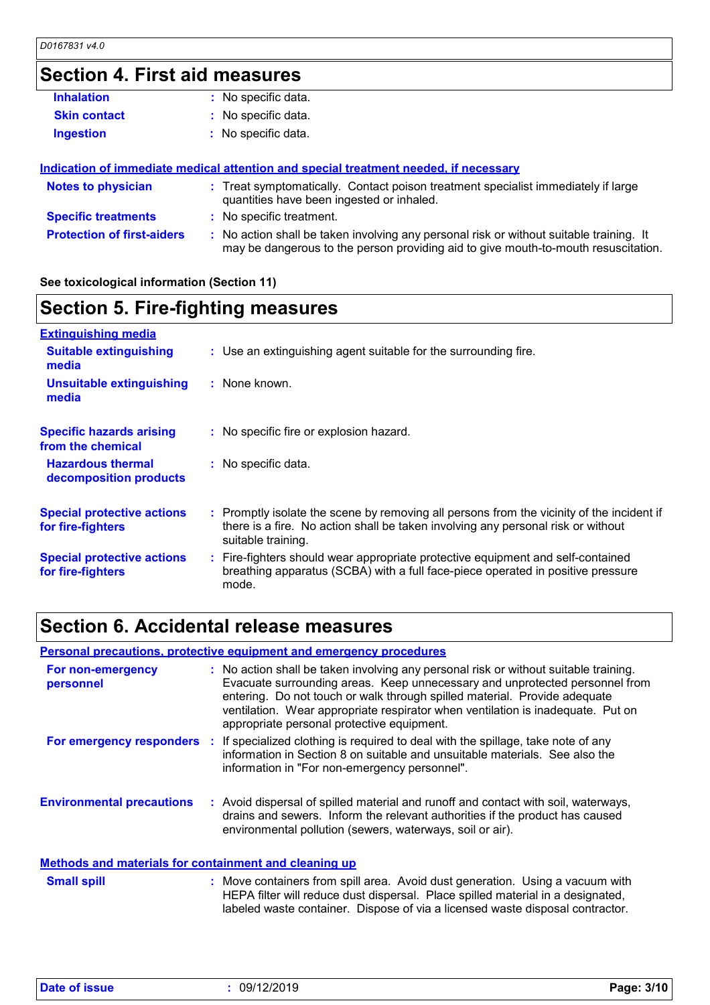## **Section 4. First aid measures**

| <b>Inhalation</b>                 | : No specific data.                                                                                                                                                           |
|-----------------------------------|-------------------------------------------------------------------------------------------------------------------------------------------------------------------------------|
| <b>Skin contact</b>               | : No specific data.                                                                                                                                                           |
| <b>Ingestion</b>                  | : No specific data.                                                                                                                                                           |
|                                   |                                                                                                                                                                               |
|                                   | Indication of immediate medical attention and special treatment needed, if necessary                                                                                          |
| <b>Notes to physician</b>         | : Treat symptomatically. Contact poison treatment specialist immediately if large<br>quantities have been ingested or inhaled.                                                |
| <b>Specific treatments</b>        | : No specific treatment.                                                                                                                                                      |
| <b>Protection of first-aiders</b> | : No action shall be taken involving any personal risk or without suitable training. It<br>may be dangerous to the person providing aid to give mouth-to-mouth resuscitation. |

## **See toxicological information (Section 11)**

## **Section 5. Fire-fighting measures**

| <b>Extinguishing media</b>                             |                                                                                                                                                                                                     |
|--------------------------------------------------------|-----------------------------------------------------------------------------------------------------------------------------------------------------------------------------------------------------|
| <b>Suitable extinguishing</b><br>media                 | : Use an extinguishing agent suitable for the surrounding fire.                                                                                                                                     |
| <b>Unsuitable extinguishing</b><br>media               | : None known.                                                                                                                                                                                       |
| <b>Specific hazards arising</b><br>from the chemical   | : No specific fire or explosion hazard.                                                                                                                                                             |
| <b>Hazardous thermal</b><br>decomposition products     | : No specific data.                                                                                                                                                                                 |
| <b>Special protective actions</b><br>for fire-fighters | : Promptly isolate the scene by removing all persons from the vicinity of the incident if<br>there is a fire. No action shall be taken involving any personal risk or without<br>suitable training. |
| <b>Special protective actions</b><br>for fire-fighters | : Fire-fighters should wear appropriate protective equipment and self-contained<br>breathing apparatus (SCBA) with a full face-piece operated in positive pressure<br>mode.                         |

## **Section 6. Accidental release measures**

|                                                              | <b>Personal precautions, protective equipment and emergency procedures</b>                                                                                                                                                                                                                                                                                                        |
|--------------------------------------------------------------|-----------------------------------------------------------------------------------------------------------------------------------------------------------------------------------------------------------------------------------------------------------------------------------------------------------------------------------------------------------------------------------|
| For non-emergency<br>personnel                               | : No action shall be taken involving any personal risk or without suitable training.<br>Evacuate surrounding areas. Keep unnecessary and unprotected personnel from<br>entering. Do not touch or walk through spilled material. Provide adequate<br>ventilation. Wear appropriate respirator when ventilation is inadequate. Put on<br>appropriate personal protective equipment. |
|                                                              | For emergency responders : If specialized clothing is required to deal with the spillage, take note of any<br>information in Section 8 on suitable and unsuitable materials. See also the<br>information in "For non-emergency personnel".                                                                                                                                        |
| <b>Environmental precautions</b>                             | : Avoid dispersal of spilled material and runoff and contact with soil, waterways,<br>drains and sewers. Inform the relevant authorities if the product has caused<br>environmental pollution (sewers, waterways, soil or air).                                                                                                                                                   |
| <b>Methods and materials for containment and cleaning up</b> |                                                                                                                                                                                                                                                                                                                                                                                   |

### Move containers from spill area. Avoid dust generation. Using a vacuum with HEPA filter will reduce dust dispersal. Place spilled material in a designated, labeled waste container. Dispose of via a licensed waste disposal contractor. **Small spill :**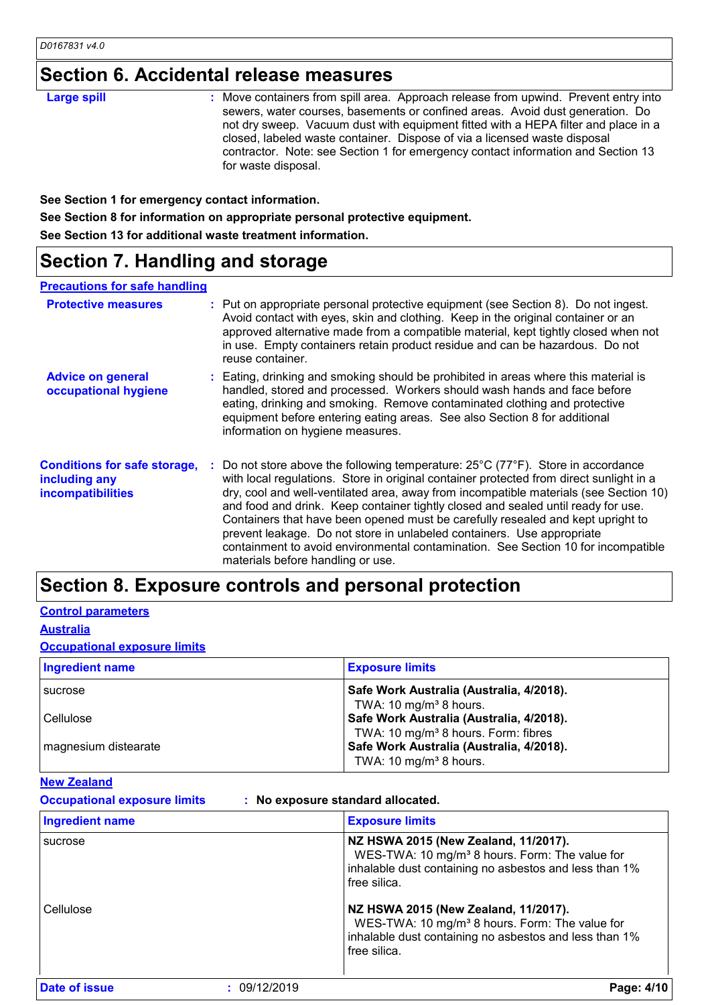## **Section 6. Accidental release measures**

| <b>Large spill</b> | : Move containers from spill area. Approach release from upwind. Prevent entry into<br>sewers, water courses, basements or confined areas. Avoid dust generation. Do<br>not dry sweep. Vacuum dust with equipment fitted with a HEPA filter and place in a<br>closed, labeled waste container. Dispose of via a licensed waste disposal<br>contractor. Note: see Section 1 for emergency contact information and Section 13<br>for waste disposal. |
|--------------------|----------------------------------------------------------------------------------------------------------------------------------------------------------------------------------------------------------------------------------------------------------------------------------------------------------------------------------------------------------------------------------------------------------------------------------------------------|
|--------------------|----------------------------------------------------------------------------------------------------------------------------------------------------------------------------------------------------------------------------------------------------------------------------------------------------------------------------------------------------------------------------------------------------------------------------------------------------|

**See Section 1 for emergency contact information.**

**See Section 8 for information on appropriate personal protective equipment.**

**See Section 13 for additional waste treatment information.**

## **Section 7. Handling and storage**

### **Precautions for safe handling**

| <b>Protective measures</b>                                                       | : Put on appropriate personal protective equipment (see Section 8). Do not ingest.<br>Avoid contact with eyes, skin and clothing. Keep in the original container or an<br>approved alternative made from a compatible material, kept tightly closed when not<br>in use. Empty containers retain product residue and can be hazardous. Do not<br>reuse container.                                                                                                                                                                                                                                                                                                      |
|----------------------------------------------------------------------------------|-----------------------------------------------------------------------------------------------------------------------------------------------------------------------------------------------------------------------------------------------------------------------------------------------------------------------------------------------------------------------------------------------------------------------------------------------------------------------------------------------------------------------------------------------------------------------------------------------------------------------------------------------------------------------|
| <b>Advice on general</b><br>occupational hygiene                                 | : Eating, drinking and smoking should be prohibited in areas where this material is<br>handled, stored and processed. Workers should wash hands and face before<br>eating, drinking and smoking. Remove contaminated clothing and protective<br>equipment before entering eating areas. See also Section 8 for additional<br>information on hygiene measures.                                                                                                                                                                                                                                                                                                         |
| <b>Conditions for safe storage,</b><br>including any<br><b>incompatibilities</b> | : Do not store above the following temperature: $25^{\circ}$ C (77 $^{\circ}$ F). Store in accordance<br>with local regulations. Store in original container protected from direct sunlight in a<br>dry, cool and well-ventilated area, away from incompatible materials (see Section 10)<br>and food and drink. Keep container tightly closed and sealed until ready for use.<br>Containers that have been opened must be carefully resealed and kept upright to<br>prevent leakage. Do not store in unlabeled containers. Use appropriate<br>containment to avoid environmental contamination. See Section 10 for incompatible<br>materials before handling or use. |

## **Section 8. Exposure controls and personal protection**

## **Control parameters**

**Australia**

**Occupational exposure limits**

| <b>Ingredient name</b> | <b>Exposure limits</b>                                                                                                            |
|------------------------|-----------------------------------------------------------------------------------------------------------------------------------|
| <b>Sucrose</b>         | Safe Work Australia (Australia, 4/2018).<br>TWA: 10 mg/m <sup>3</sup> 8 hours.                                                    |
| Cellulose              | Safe Work Australia (Australia, 4/2018).                                                                                          |
| magnesium distearate   | TWA: 10 mg/m <sup>3</sup> 8 hours. Form: fibres<br>Safe Work Australia (Australia, 4/2018).<br>TWA: 10 mg/m <sup>3</sup> 8 hours. |

## **New Zealand**

**Occupational exposure limits : No exposure standard allocated.**

| <b>Ingredient name</b> |              | <b>Exposure limits</b>                                                                                                                                                       |  |
|------------------------|--------------|------------------------------------------------------------------------------------------------------------------------------------------------------------------------------|--|
| sucrose                |              | NZ HSWA 2015 (New Zealand, 11/2017).<br>WES-TWA: 10 mg/m <sup>3</sup> 8 hours. Form: The value for<br>inhalable dust containing no asbestos and less than 1%<br>free silica. |  |
| Cellulose              |              | NZ HSWA 2015 (New Zealand, 11/2017).<br>WES-TWA: 10 mg/m <sup>3</sup> 8 hours. Form: The value for<br>inhalable dust containing no asbestos and less than 1%<br>free silica. |  |
| Date of issue          | : 09/12/2019 | Page: 4/10                                                                                                                                                                   |  |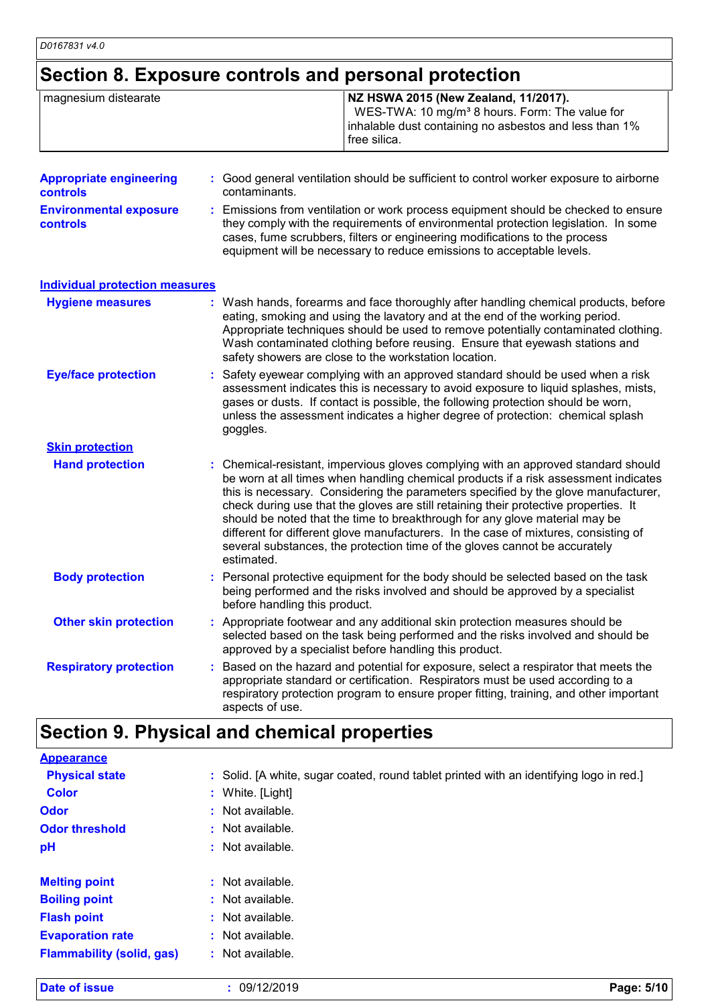# **Section 8. Exposure controls and personal protection**

| magnesium distearate           | NZ HSWA 2015 (New Zealand, 11/2017).<br>WES-TWA: 10 mg/m <sup>3</sup> 8 hours. Form: The value for<br>inhalable dust containing no asbestos and less than 1%<br>free silica. |
|--------------------------------|------------------------------------------------------------------------------------------------------------------------------------------------------------------------------|
| <b>Appropriate engineering</b> | : Good general ventilation should be sufficient to control worker exposure to airborne                                                                                       |

| <b>controls</b>                                  | contaminants.                                                                                                                                                                                                                                                                                                                   |
|--------------------------------------------------|---------------------------------------------------------------------------------------------------------------------------------------------------------------------------------------------------------------------------------------------------------------------------------------------------------------------------------|
| <b>Environmental exposure</b><br><b>controls</b> | : Emissions from ventilation or work process equipment should be checked to ensure<br>they comply with the requirements of environmental protection legislation. In some<br>cases, fume scrubbers, filters or engineering modifications to the process<br>equipment will be necessary to reduce emissions to acceptable levels. |

| <b>Hygiene measures</b>       | : Wash hands, forearms and face thoroughly after handling chemical products, before<br>eating, smoking and using the lavatory and at the end of the working period.<br>Appropriate techniques should be used to remove potentially contaminated clothing.<br>Wash contaminated clothing before reusing. Ensure that eyewash stations and<br>safety showers are close to the workstation location.                                                                                                                                                                                                                         |
|-------------------------------|---------------------------------------------------------------------------------------------------------------------------------------------------------------------------------------------------------------------------------------------------------------------------------------------------------------------------------------------------------------------------------------------------------------------------------------------------------------------------------------------------------------------------------------------------------------------------------------------------------------------------|
| <b>Eye/face protection</b>    | : Safety eyewear complying with an approved standard should be used when a risk<br>assessment indicates this is necessary to avoid exposure to liquid splashes, mists,<br>gases or dusts. If contact is possible, the following protection should be worn,<br>unless the assessment indicates a higher degree of protection: chemical splash<br>goggles.                                                                                                                                                                                                                                                                  |
| <b>Skin protection</b>        |                                                                                                                                                                                                                                                                                                                                                                                                                                                                                                                                                                                                                           |
| <b>Hand protection</b>        | : Chemical-resistant, impervious gloves complying with an approved standard should<br>be worn at all times when handling chemical products if a risk assessment indicates<br>this is necessary. Considering the parameters specified by the glove manufacturer,<br>check during use that the gloves are still retaining their protective properties. It<br>should be noted that the time to breakthrough for any glove material may be<br>different for different glove manufacturers. In the case of mixtures, consisting of<br>several substances, the protection time of the gloves cannot be accurately<br>estimated. |
| <b>Body protection</b>        | : Personal protective equipment for the body should be selected based on the task<br>being performed and the risks involved and should be approved by a specialist<br>before handling this product.                                                                                                                                                                                                                                                                                                                                                                                                                       |
| <b>Other skin protection</b>  | : Appropriate footwear and any additional skin protection measures should be<br>selected based on the task being performed and the risks involved and should be<br>approved by a specialist before handling this product.                                                                                                                                                                                                                                                                                                                                                                                                 |
| <b>Respiratory protection</b> | Based on the hazard and potential for exposure, select a respirator that meets the<br>appropriate standard or certification. Respirators must be used according to a<br>respiratory protection program to ensure proper fitting, training, and other important<br>aspects of use.                                                                                                                                                                                                                                                                                                                                         |

# **Section 9. Physical and chemical properties**

| <b>Date of issue</b>             | : 09/12/2019<br>Page: 5/10                                                              |  |
|----------------------------------|-----------------------------------------------------------------------------------------|--|
| <b>Flammability (solid, gas)</b> | $:$ Not available.                                                                      |  |
| <b>Evaporation rate</b>          | $:$ Not available.                                                                      |  |
| <b>Flash point</b>               | $:$ Not available.                                                                      |  |
| <b>Boiling point</b>             | $:$ Not available.                                                                      |  |
| <b>Melting point</b>             | $:$ Not available.                                                                      |  |
| pH                               | $:$ Not available.                                                                      |  |
| <b>Odor threshold</b>            | $:$ Not available.                                                                      |  |
| <b>Odor</b>                      | : Not available.                                                                        |  |
| <b>Color</b>                     | : White. [Light]                                                                        |  |
| <b>Physical state</b>            | : Solid. [A white, sugar coated, round tablet printed with an identifying logo in red.] |  |
| <b>Appearance</b>                |                                                                                         |  |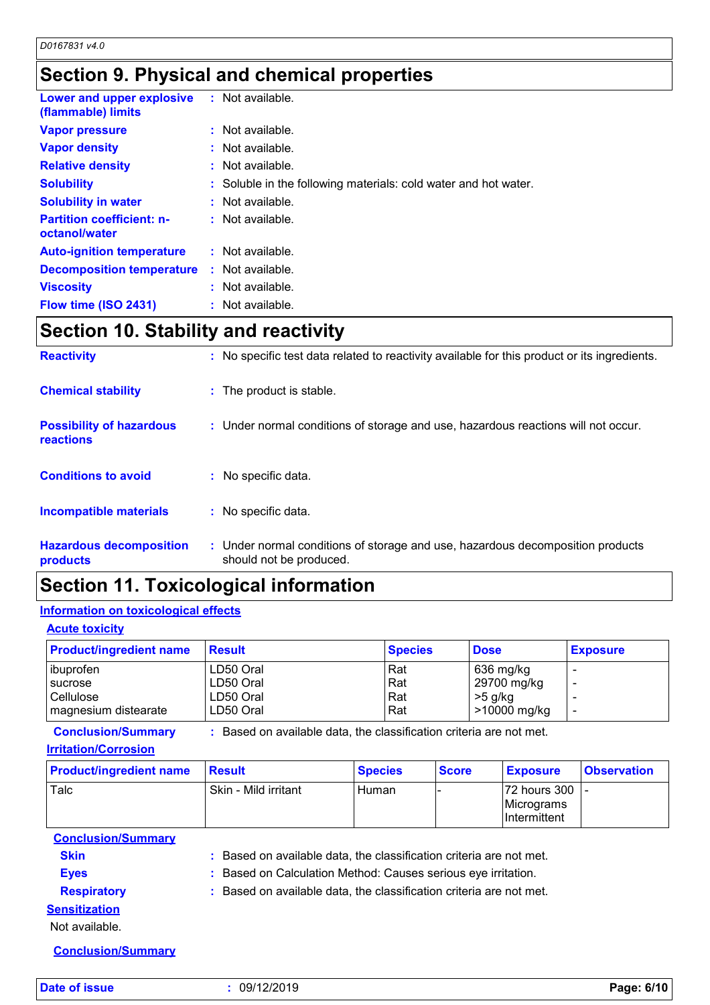# **Section 9. Physical and chemical properties**

| Lower and upper explosive<br>(flammable) limits   | $:$ Not available.                                              |
|---------------------------------------------------|-----------------------------------------------------------------|
| <b>Vapor pressure</b>                             | : Not available.                                                |
| <b>Vapor density</b>                              | : Not available.                                                |
| <b>Relative density</b>                           | $:$ Not available.                                              |
| <b>Solubility</b>                                 | : Soluble in the following materials: cold water and hot water. |
| <b>Solubility in water</b>                        | $:$ Not available.                                              |
| <b>Partition coefficient: n-</b><br>octanol/water | : Not available.                                                |
| <b>Auto-ignition temperature</b>                  | $:$ Not available.                                              |
| <b>Decomposition temperature</b>                  | $:$ Not available.                                              |
| <b>Viscosity</b>                                  | : Not available.                                                |
| Flow time (ISO 2431)                              | : Not available.                                                |

## **Section 10. Stability and reactivity**

| <b>Reactivity</b>                            | : No specific test data related to reactivity available for this product or its ingredients.              |
|----------------------------------------------|-----------------------------------------------------------------------------------------------------------|
| <b>Chemical stability</b>                    | : The product is stable.                                                                                  |
| <b>Possibility of hazardous</b><br>reactions | : Under normal conditions of storage and use, hazardous reactions will not occur.                         |
| <b>Conditions to avoid</b>                   | : No specific data.                                                                                       |
| <b>Incompatible materials</b>                | : No specific data.                                                                                       |
| <b>Hazardous decomposition</b><br>products   | : Under normal conditions of storage and use, hazardous decomposition products<br>should not be produced. |

## **Section 11. Toxicological information**

## **Information on toxicological effects**

### **Acute toxicity**

| <b>Product/ingredient name</b> | <b>Result</b> | <b>Species</b> | <b>Dose</b>    | <b>Exposure</b> |
|--------------------------------|---------------|----------------|----------------|-----------------|
| ibuprofen                      | LD50 Oral     | Rat            | 636 mg/kg      |                 |
| <b>Sucrose</b>                 | LD50 Oral     | Rat            | 29700 mg/kg    |                 |
| Cellulose                      | LD50 Oral     | Rat            | $>5$ g/kg      |                 |
| magnesium distearate           | LD50 Oral     | Rat            | $>10000$ mg/kg |                 |

**Conclusion/Summary :** Based on available data, the classification criteria are not met.

### **Irritation/Corrosion**

| <b>Product/ingredient name</b> | <b>Result</b>        | <b>Species</b> | <b>Score</b> | <b>Exposure</b>                                              | <b>Observation</b> |
|--------------------------------|----------------------|----------------|--------------|--------------------------------------------------------------|--------------------|
| Talc                           | Skin - Mild irritant | l Human        | . .          | l72 hours 300 T<br><b>IMicrograms</b><br><b>Intermittent</b> |                    |

**Conclusion/Summary**

**Skin Example 20 :** Based on available data, the classification criteria are not met.

**Eyes :** Based on Calculation Method: Causes serious eye irritation. **Respiratory :** Based on available data, the classification criteria are not met.

## **Sensitization**

Not available.

**Conclusion/Summary**

**Date of issue :** 09/12/2019 **Page: 6/10**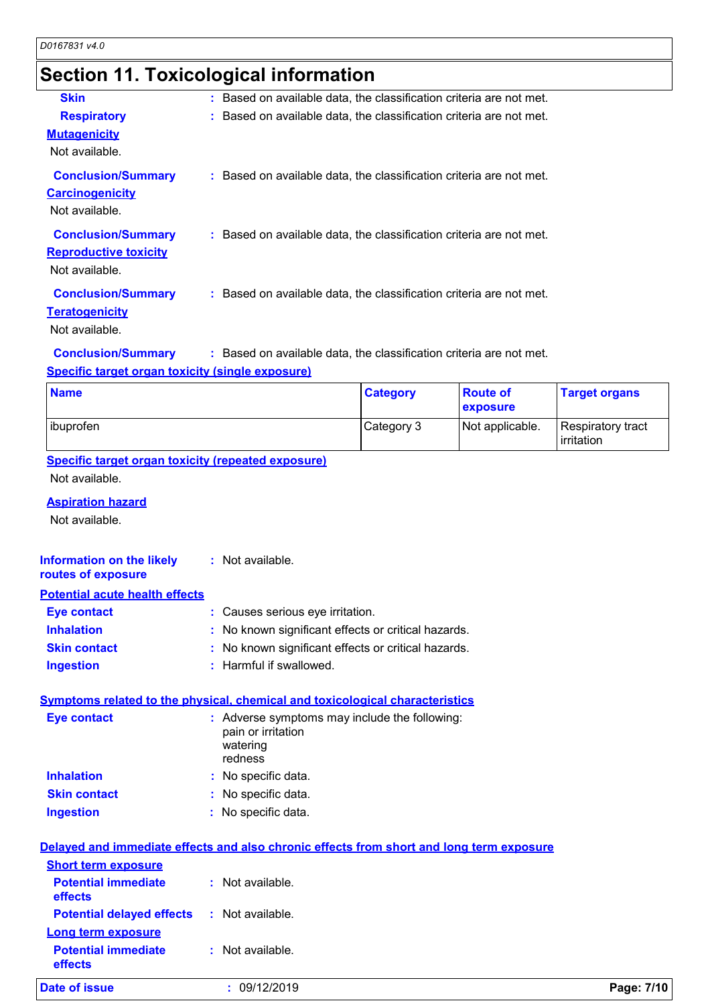# **Section 11. Toxicological information**

| <b>Skin</b>                                                                 | : Based on available data, the classification criteria are not met. |
|-----------------------------------------------------------------------------|---------------------------------------------------------------------|
| <b>Respiratory</b>                                                          | : Based on available data, the classification criteria are not met. |
| <b>Mutagenicity</b><br>Not available.                                       |                                                                     |
| <b>Conclusion/Summary</b><br><b>Carcinogenicity</b><br>Not available.       | : Based on available data, the classification criteria are not met. |
| <b>Conclusion/Summary</b><br><b>Reproductive toxicity</b><br>Not available. | : Based on available data, the classification criteria are not met. |
| <b>Conclusion/Summary</b><br><b>Teratogenicity</b><br>Not available.        | : Based on available data, the classification criteria are not met. |
| <b>Conclusion/Summary</b>                                                   | : Based on available data, the classification criteria are not met. |

### **Specific target organ toxicity (single exposure)**

| <b>Name</b> | <b>Category</b> | <b>Route of</b><br><b>exposure</b> | <b>Target organs</b>            |
|-------------|-----------------|------------------------------------|---------------------------------|
| ibuprofen   | Category 3      | Not applicable.                    | Respiratory tract<br>irritation |

### **Specific target organ toxicity (repeated exposure)** Not available.

### **Aspiration hazard**

Not available.

| <b>Information on the likely</b> | : Not available. |
|----------------------------------|------------------|
| routes of exposure               |                  |

### **Potential acute health effects**

| <b>Eye contact</b>  | : Causes serious eye irritation.                    |
|---------------------|-----------------------------------------------------|
| <b>Inhalation</b>   | : No known significant effects or critical hazards. |
| <b>Skin contact</b> | : No known significant effects or critical hazards. |
| <b>Ingestion</b>    | : Harmful if swallowed.                             |

### **Symptoms related to the physical, chemical and toxicological characteristics**

| <b>Eye contact</b>  | : Adverse symptoms may include the following:<br>pain or irritation<br>watering<br>redness |
|---------------------|--------------------------------------------------------------------------------------------|
| <b>Inhalation</b>   | : No specific data.                                                                        |
| <b>Skin contact</b> | : No specific data.                                                                        |
| <b>Ingestion</b>    | : No specific data.                                                                        |

## **Delayed and immediate effects and also chronic effects from short and long term exposure**

| <b>Date of issue</b>                  | : 09/12/2019     | Page: 7/10 |
|---------------------------------------|------------------|------------|
| <b>Potential immediate</b><br>effects | : Not available. |            |
| <b>Long term exposure</b>             |                  |            |
| <b>Potential delayed effects</b>      | : Not available. |            |
| <b>Potential immediate</b><br>effects | : Not available. |            |
| <b>Short term exposure</b>            |                  |            |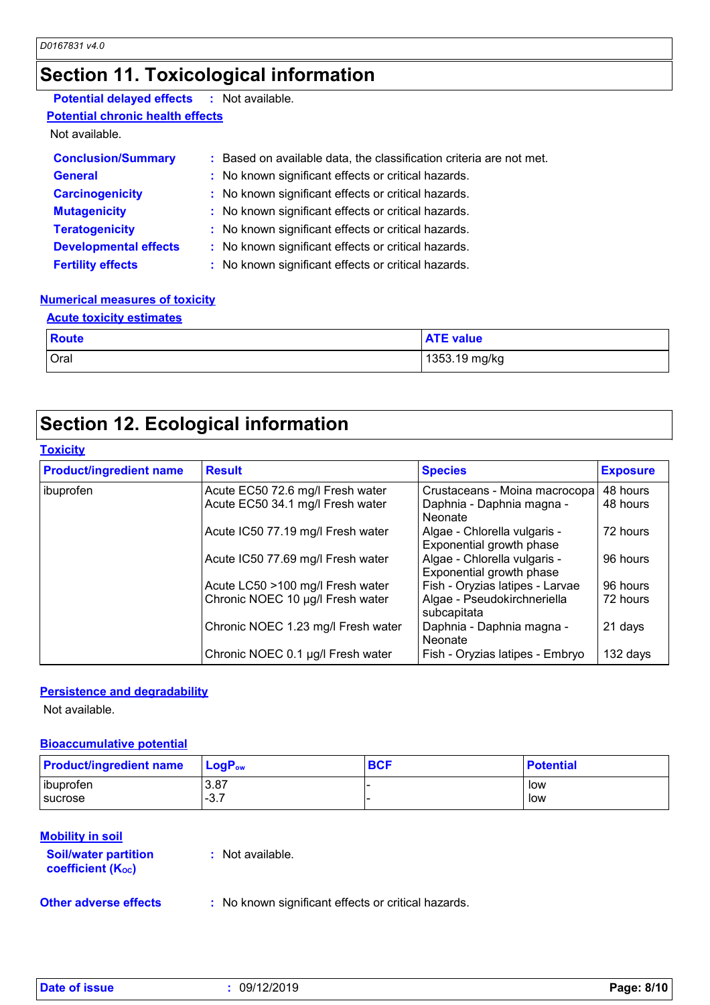## **Section 11. Toxicological information**

## **Potential delayed effects :** Not available.

**Potential chronic health effects**

Not available.

| <b>Conclusion/Summary</b>    | : Based on available data, the classification criteria are not met. |
|------------------------------|---------------------------------------------------------------------|
| <b>General</b>               | : No known significant effects or critical hazards.                 |
| <b>Carcinogenicity</b>       | : No known significant effects or critical hazards.                 |
| <b>Mutagenicity</b>          | : No known significant effects or critical hazards.                 |
| <b>Teratogenicity</b>        | : No known significant effects or critical hazards.                 |
| <b>Developmental effects</b> | : No known significant effects or critical hazards.                 |
| <b>Fertility effects</b>     | : No known significant effects or critical hazards.                 |

## **Numerical measures of toxicity**

| <b>Acute toxicity estimates</b> |                  |
|---------------------------------|------------------|
| <b>Route</b>                    | <b>ATE</b> value |
| Oral                            | 1353.19 mg/kg    |

## **Section 12. Ecological information**

## **Toxicity**

| <b>Product/ingredient name</b> | <b>Result</b>                      | <b>Species</b>                                           | <b>Exposure</b> |
|--------------------------------|------------------------------------|----------------------------------------------------------|-----------------|
| ibuprofen                      | Acute EC50 72.6 mg/l Fresh water   | Crustaceans - Moina macrocopa                            | 48 hours        |
|                                | Acute EC50 34.1 mg/l Fresh water   | Daphnia - Daphnia magna -<br>Neonate                     | 48 hours        |
|                                | Acute IC50 77.19 mg/l Fresh water  | Algae - Chlorella vulgaris -<br>Exponential growth phase | 72 hours        |
|                                | Acute IC50 77.69 mg/l Fresh water  | Algae - Chlorella vulgaris -<br>Exponential growth phase | 96 hours        |
|                                | Acute LC50 >100 mg/l Fresh water   | Fish - Oryzias latipes - Larvae                          | 96 hours        |
|                                | Chronic NOEC 10 µg/l Fresh water   | Algae - Pseudokirchneriella<br>subcapitata               | 72 hours        |
|                                | Chronic NOEC 1.23 mg/l Fresh water | Daphnia - Daphnia magna -<br>Neonate                     | 21 days         |
|                                | Chronic NOEC 0.1 µg/l Fresh water  | Fish - Oryzias latipes - Embryo                          | 132 days        |

## **Persistence and degradability**

Not available.

## **Bioaccumulative potential**

| <b>Product/ingredient name</b> | $\mathsf{LogP}_\mathsf{ow}$ | <b>BCF</b> | <b>Potential</b> |
|--------------------------------|-----------------------------|------------|------------------|
| ibuprofen<br><b>I</b> sucrose  | 3.87<br>27                  |            | low<br>low       |
|                                | . - ت                       |            |                  |

### **Mobility in soil**

| <b>Soil/water partition</b><br><b>coefficient (Koc)</b> | : Not available. |  |
|---------------------------------------------------------|------------------|--|
|                                                         |                  |  |

**Other adverse effects** : No known significant effects or critical hazards.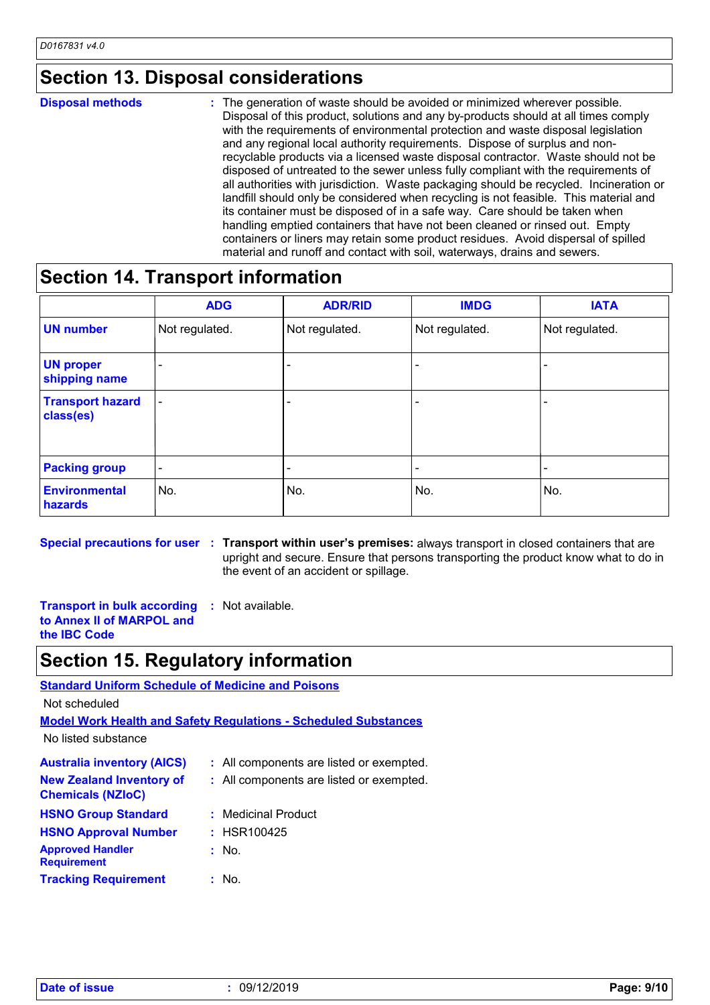## **Section 13. Disposal considerations**

### The generation of waste should be avoided or minimized wherever possible. Disposal of this product, solutions and any by-products should at all times comply with the requirements of environmental protection and waste disposal legislation and any regional local authority requirements. Dispose of surplus and nonrecyclable products via a licensed waste disposal contractor. Waste should not be disposed of untreated to the sewer unless fully compliant with the requirements of all authorities with jurisdiction. Waste packaging should be recycled. Incineration or landfill should only be considered when recycling is not feasible. This material and its container must be disposed of in a safe way. Care should be taken when handling emptied containers that have not been cleaned or rinsed out. Empty containers or liners may retain some product residues. Avoid dispersal of spilled material and runoff and contact with soil, waterways, drains and sewers. **Disposal methods :**

## **Section 14. Transport information**

|                                      | <b>ADG</b>               | <b>ADR/RID</b> | <b>IMDG</b>    | <b>IATA</b>              |
|--------------------------------------|--------------------------|----------------|----------------|--------------------------|
| <b>UN number</b>                     | Not regulated.           | Not regulated. | Not regulated. | Not regulated.           |
| <b>UN proper</b><br>shipping name    |                          |                |                | $\overline{\phantom{0}}$ |
| <b>Transport hazard</b><br>class(es) | $\overline{\phantom{a}}$ |                |                | $\overline{\phantom{0}}$ |
| <b>Packing group</b>                 | $\overline{\phantom{a}}$ | ۰              | ٠              |                          |
| <b>Environmental</b><br>hazards      | No.                      | No.            | No.            | No.                      |

**Special precautions for user Transport within user's premises:** always transport in closed containers that are **:** upright and secure. Ensure that persons transporting the product know what to do in the event of an accident or spillage.

**Transport in bulk according :** Not available. **to Annex II of MARPOL and the IBC Code**

## **Section 15. Regulatory information**

## **Australia inventory (AICS) :** All components are listed or exempted. **Standard Uniform Schedule of Medicine and Poisons Model Work Health and Safety Regulations - Scheduled Substances** No listed substance Not scheduled **New Zealand Inventory of Chemicals (NZIoC) :** All components are listed or exempted. **HSNO Approval Number :** HSR100425 **HSNO Group Standard :** Medicinal Product

| <b>Approved Handler</b><br>: No.                           |  |
|------------------------------------------------------------|--|
| <b>Requirement</b><br><b>Tracking Requirement</b><br>: No. |  |